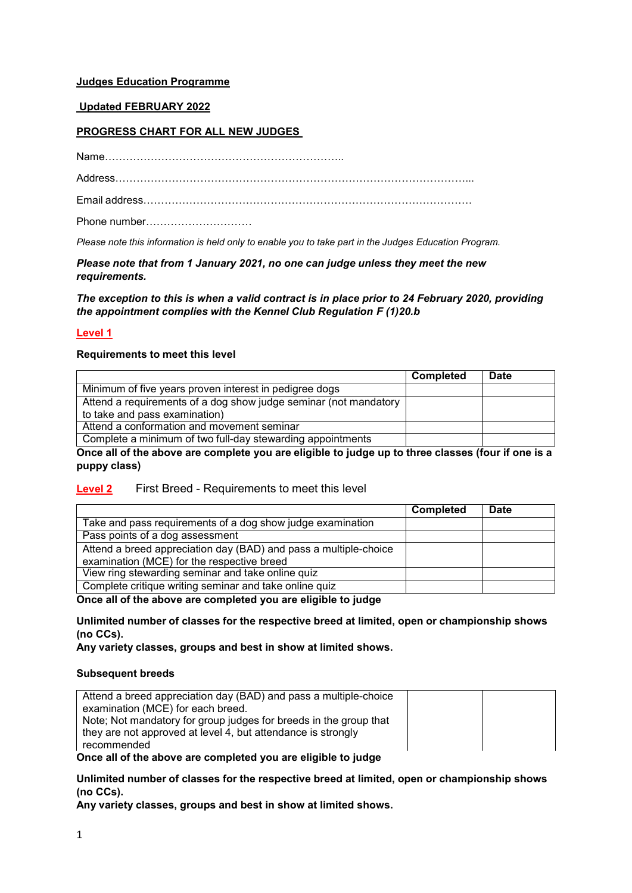# **Judges Education Programme**

# **Updated FEBRUARY 2022**

# **PROGRESS CHART FOR ALL NEW JUDGES**

Name…………………………………………………………..

Address………………………………………………………………………………………...

Email address…………………………………………………………………………………

Phone number…………………………

*Please note this information is held only to enable you to take part in the Judges Education Program.* 

*Please note that from 1 January 2021, no one can judge unless they meet the new requirements.*

*The exception to this is when a valid contract is in place prior to 24 February 2020, providing the appointment complies with the Kennel Club Regulation F (1)20.b*

# **Level 1**

### **Requirements to meet this level**

|                                                                  | <b>Completed</b> | <b>Date</b> |
|------------------------------------------------------------------|------------------|-------------|
| Minimum of five years proven interest in pedigree dogs           |                  |             |
| Attend a requirements of a dog show judge seminar (not mandatory |                  |             |
| to take and pass examination)                                    |                  |             |
| Attend a conformation and movement seminar                       |                  |             |
| Complete a minimum of two full-day stewarding appointments       |                  |             |

**Once all of the above are complete you are eligible to judge up to three classes (four if one is a puppy class)**

# **Level 2** First Breed - Requirements to meet this level

|                                                                  | <b>Completed</b> | Date |
|------------------------------------------------------------------|------------------|------|
| Take and pass requirements of a dog show judge examination       |                  |      |
| Pass points of a dog assessment                                  |                  |      |
| Attend a breed appreciation day (BAD) and pass a multiple-choice |                  |      |
| examination (MCE) for the respective breed                       |                  |      |
| View ring stewarding seminar and take online quiz                |                  |      |
| Complete critique writing seminar and take online quiz           |                  |      |

**Once all of the above are completed you are eligible to judge**

**Unlimited number of classes for the respective breed at limited, open or championship shows (no CCs).**

**Any variety classes, groups and best in show at limited shows.**

#### **Subsequent breeds**

| Attend a breed appreciation day (BAD) and pass a multiple-choice                  |  |
|-----------------------------------------------------------------------------------|--|
| examination (MCE) for each breed.                                                 |  |
| Note; Not mandatory for group judges for breeds in the group that                 |  |
| they are not approved at level 4, but attendance is strongly                      |  |
| recommended                                                                       |  |
| And a collect that the collection of a consideration of a collect that he to do a |  |

**Once all of the above are completed you are eligible to judge**

**Unlimited number of classes for the respective breed at limited, open or championship shows (no CCs).**

**Any variety classes, groups and best in show at limited shows.**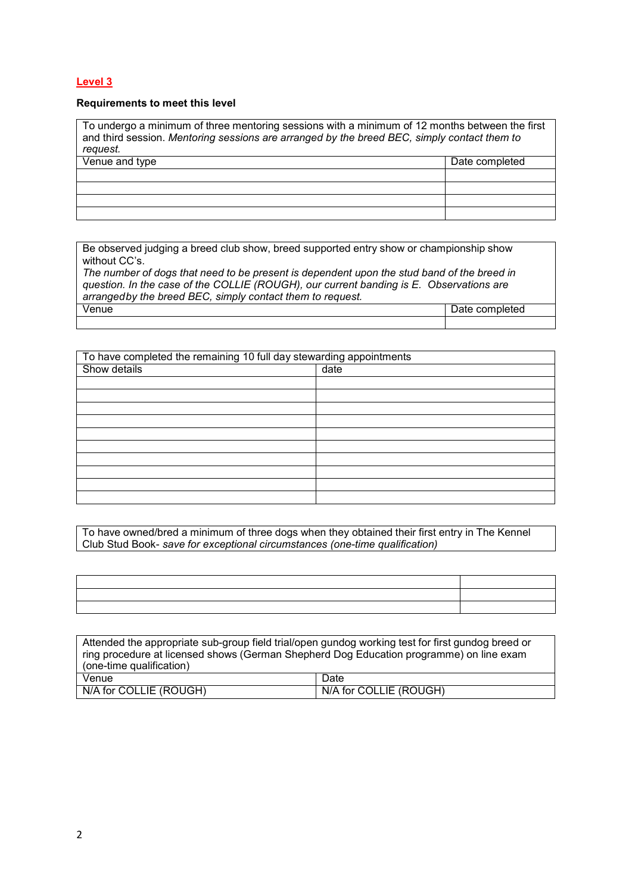# **Level 3**

#### **Requirements to meet this level**

To undergo a minimum of three mentoring sessions with a minimum of 12 months between the first and third session. *Mentoring sessions are arranged by the breed BEC, simply contact them to request.* Venue and type **Date completed** Date completed

Be observed judging a breed club show, breed supported entry show or championship show without CC's.

*The number of dogs that need to be present is dependent upon the stud band of the breed in question. In the case of the COLLIE (ROUGH), our current banding is E. Observations are arranged by the breed BEC, simply contact them to request.* Date completed

| To have completed the remaining 10 full day stewarding appointments |      |  |
|---------------------------------------------------------------------|------|--|
| Show details                                                        | date |  |
|                                                                     |      |  |
|                                                                     |      |  |
|                                                                     |      |  |
|                                                                     |      |  |
|                                                                     |      |  |
|                                                                     |      |  |
|                                                                     |      |  |
|                                                                     |      |  |
|                                                                     |      |  |
|                                                                     |      |  |

To have owned/bred a minimum of three dogs when they obtained their first entry in The Kennel Club Stud Book- *save for exceptional circumstances (one-time qualification)*

| Attended the appropriate sub-group field trial/open gundog working test for first gundog breed or<br>ring procedure at licensed shows (German Shepherd Dog Education programme) on line exam<br>(one-time qualification) |                        |
|--------------------------------------------------------------------------------------------------------------------------------------------------------------------------------------------------------------------------|------------------------|
| Venue<br>Date                                                                                                                                                                                                            |                        |
| N/A for COLLIE (ROUGH)                                                                                                                                                                                                   | N/A for COLLIE (ROUGH) |